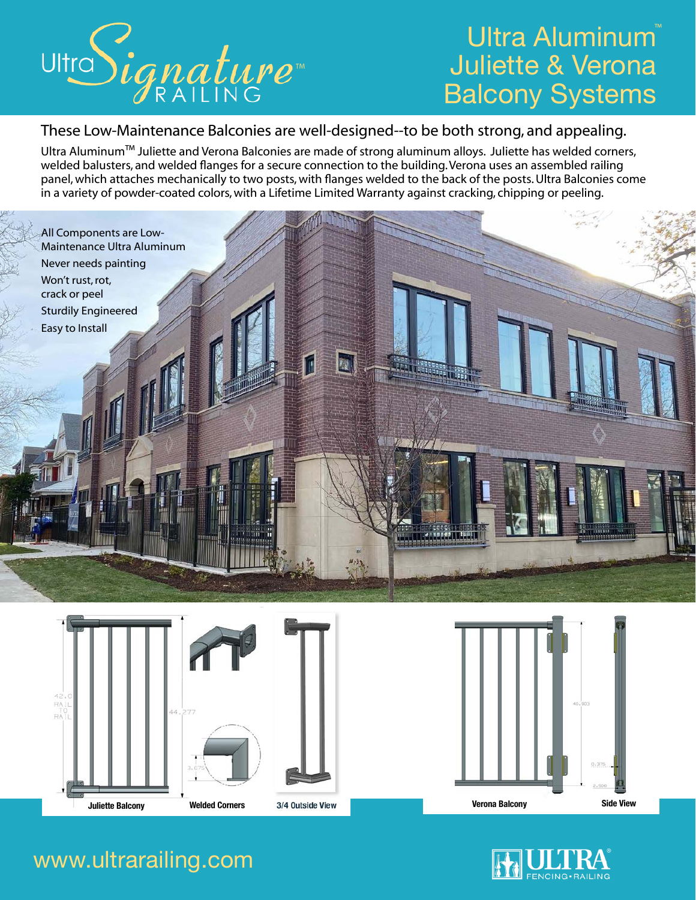

# Ultra Aluminum Juliette & Verona Balcony Systems

### These Low-Maintenance Balconies are well-designed--to be both strong, and appealing.

Ultra Aluminum™ Juliette and Verona Balconies are made of strong aluminum alloys. Juliette has welded corners, welded balusters, and welded flanges for a secure connection to the building. Verona uses an assembled railing panel, which attaches mechanically to two posts, with flanges welded to the back of the posts. Ultra Balconies come in a variety of powder-coated colors, with a Lifetime Limited Warranty against cracking, chipping or peeling.













### www.ultrarailing.com